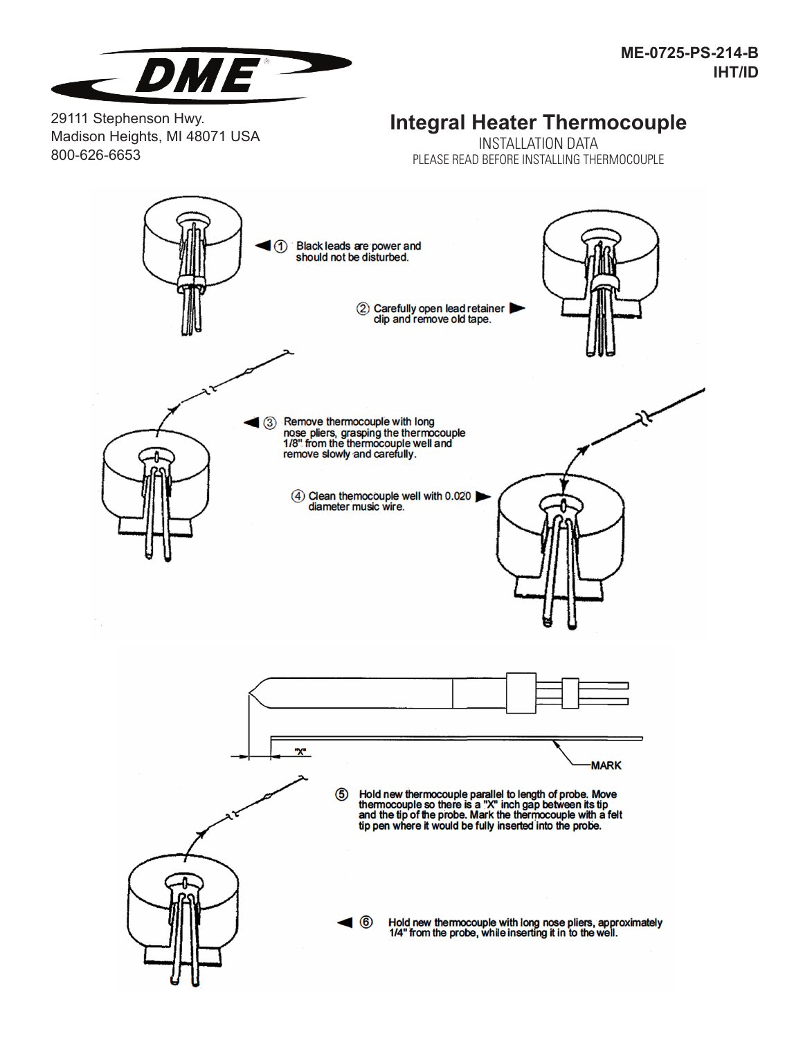

29111 Stephenson Hwy. Madison Heights, MI 48071 USA 800-626-6653

## **Integral Heater Thermocouple**

INSTALLATION DATA PLEASE READ BEFORE INSTALLING THERMOCOUPLE